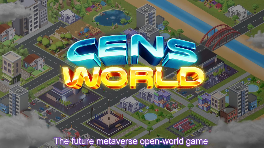The future metaverse open-world game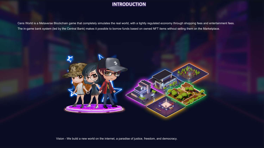## **INTRODUCTION**

Cens World is a Metaverse Blockchain game that completely simulates the real world, with a tightly regulated economy through shopping fees and entertainment fees. The in-game bank system (led by the Central Bank) makes it possible to borrow funds based on owned NFT items without selling them on the Marketplace.



Vision - We build a new world on the internet, a paradise of justice, freedom, and democracy.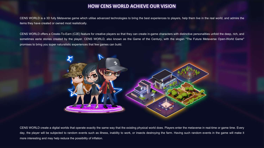### **HOW CENS WORLD ACHIEVE OUR VISION**

CENS WORLD is a 3D fully Metaverse game which utilise advanced technologies to bring the best experiences to players, help them live in the real world, and admire the items they have created or owned most realistically.

CENS WORLD offers a Create-To-Earn (C2E) feature for creative players so that they can create in-game characters with distinctive personalities unfold the deep, rich, and sometimes eerie stories created by the player. CENS WORLD, also known as the Game of the Century, with the slogan "The Future Metaverse Open-World Game" promises to bring you super naturalistic experiences that few games can build.



CENS WORLD create a digital worlds that operate exactly the same way that the existing physical world does. Players enter the metaverse in real-time or game time. Every day, the player will be subjected to random events such as illness, inability to work, or insects destroying the farm. Having such random events in the game will make it more interesting and may help reduce the possibility of inflation.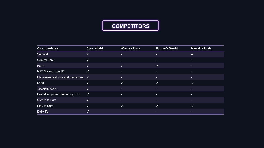# **COMPETITORS**

| <b>Characteristics</b>                      | <b>Cens World</b>    | <b>Wanaka Farm</b> | <b>Farmer's World</b> | Kawaii Islands |
|---------------------------------------------|----------------------|--------------------|-----------------------|----------------|
| Survival                                    | V                    | ٠                  | п.                    | ✓              |
| <b>Central Bank</b>                         | V                    |                    | ٠                     | ٠              |
| Farm                                        | N                    | √                  | √                     | ь              |
| NFT Marketplace 3D                          | $\sqrt{}$            | н.                 | т.                    |                |
| Metaverse real time and game time $\sqrt{}$ |                      |                    |                       | Е              |
| Land                                        | V                    | ✓                  | √                     | √              |
| <b>VR/AR/MR/XR</b>                          | ✓                    | ٠                  | п.                    | ь              |
| Brain-Computer Interfacing (BCI)            | $\blacktriangledown$ | ۰.                 | ×.                    | ٠              |
| Create to Earn                              | M                    |                    | н.                    | ÷              |
| Play to Earn                                | V                    | √                  | √                     | $\checkmark$   |
| Daily life                                  | v                    |                    |                       | E.             |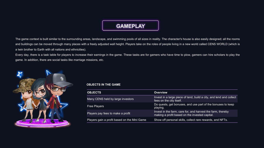The game context is built similar to the surrounding areas, landscape, and swimming pools of all sizes in reality. The character's house is also easily designed; all the rooms and buildings can be moved through many places with a freely adjusted wall height. Players take on the roles of people living in a new world called CENS WORLD (which is a twin brother to Earth with all nations and ethnicities).

Every day, there is a task table for players to increase their earnings in the game. These tasks are for gamers who have time to plow, gamers can hire scholars to play the game. In addition, there are social tasks like marriage missions, etc.



#### **OBJECTS IN THE GAME**

| <b>OBJECTS</b>                               | Overview                                                                                                      |
|----------------------------------------------|---------------------------------------------------------------------------------------------------------------|
| Many CENS held by large investors            | Invest in a large piece of land, build a city, and lend and collect<br>fees on the city itself.               |
| <b>Free Players</b>                          | Do quests, get bonuses, and use part of the bonuses to keep<br>playing.                                       |
| Players pay fees to make a profit            | Invest in the farm, care for, and harvest the farm, thereby<br>making a profit based on the invested capital. |
| Players gain a profit based on the Mini Game | Show off personal skills, collect rare rewards, and NFTs.                                                     |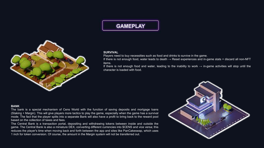

#### **SURVIVAL**

Players need to buy necessities such as food and drinks to survive in the game.

If there is not enough food, water leads to death → Reset experiences and in-game stats + discard all non-NFT items.

If there is not enough food and water, leading to the inability to work  $\rightarrow$  in-game activities will stop until the character is loaded with food.

#### **BANK**

The bank is a special mechanism of Cens World with the function of saving deposits and mortgage loans (Staking + Margin). This will give players more tactics to play the game, especially when the game has a survival mode. The fact that the player splits into a separate Bank will also have a profit to bring back to the reward pool based on the collection of taxes and fees.

The Central Bank is a transaction portal, depositing and withdrawing tokens between inside and outside the game. The Central Bank is also a miniature DEX, converting different currencies into \$CENS and vice versa; this reduces the player's time when moving back and forth between the app and sites like PanCakeswap, which uses 1 inch for token conversion. Of course, the amount in the Margin system will not be transferred out.

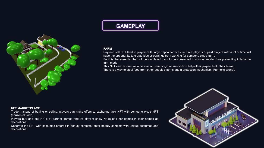

#### **FARM**

Buy and sell NFT land to players with large capital to invest in. Free players or paid players with a lot of time will have the opportunity to create jobs or earnings from working for someone else's farm.

Food is the essential that will be circulated back to be consumed in survival mode, thus preventing inflation in farm mode.

This NFT can be used as a decoration, seedlings, or livestock to help other players build their farms. There is a way to steal food from other people's farms and a protection mechanism (Farmer's World).

#### **NFT MARKETPLACE**

Trade: Instead of buying or selling, players can make offers to exchange their NFT with someone else's NFT (horizontal trade).

Players buy and sell NFTs of partner games and let players show NFTs of other games in their homes as decorations.

Decorate the NFT with costumes entered in beauty contests; enter beauty contests with unique costumes and decorations.

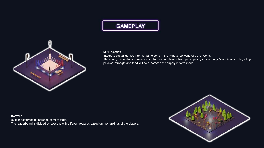

#### **MINI GAMES**

Integrate casual games into the game zone in the Metaverse world of Cens World. There may be a stamina mechanism to prevent players from participating in too many Mini Games. Integrating physical strength and food will help increase the supply in farm mode.

**BATTLE** Built-in costumes to increase combat stats. The leaderboard is divided by season, with different rewards based on the rankings of the players.

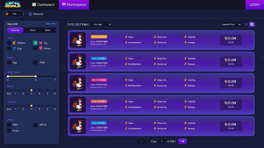| <b>GENS</b>                                                                                | <b>B</b> Dashboard                                                                  | Marketplace                                   |                                                                                  |                                                             | <b>LOGIN</b>                    |
|--------------------------------------------------------------------------------------------|-------------------------------------------------------------------------------------|-----------------------------------------------|----------------------------------------------------------------------------------|-------------------------------------------------------------|---------------------------------|
| 誉<br>Pet                                                                                   | Character                                                                           |                                               |                                                                                  |                                                             |                                 |
| <b>Filter (20)</b>                                                                         | Clear filter                                                                        | 576,567 Pets<br>For sale<br>$\sim$            |                                                                                  |                                                             | Lowest Price $\ \cdot\  \equiv$ |
| General<br>CLASS<br>Chicken<br><b>Cow</b>                                                  | Parts<br>Stats<br>$\vee$ 8 Pig<br>Sheep                                             | #54744898<br>Cens #5647889<br>Breed count: 45 | Clear<br><b>&amp;</b> Babylonia<br>& Bubblemaker                                 | <b>Risky Fish</b><br><b>Goldfish</b><br>Navaga              | @0.04<br>\$345                  |
| STACE<br>Egg                                                                               | Adult                                                                               | #54744898<br>Cens #5647889<br>Breed count: 45 | <b>&amp; Clear</b><br><b>Bubblemaker</b><br>& Babylonia                          | Risky Fish<br>Goldfish<br>Navaga                            | @0.04<br>\$345                  |
| <b>BREED COUNT</b><br>$\Omega$<br><b>MYSTIC</b><br>$\overline{2}$<br>Any<br>$\blacksquare$ | 5<br>$\overline{\mathcal{L}}$<br>$\mathbf 5$<br>$\mathbf{B}$<br>$\overline{4}$<br>6 | #54744898<br>Cens #5647889<br>Breed count: 45 | Clear<br><b>Risky Fish</b><br><b>&amp;</b> Bubblemaker<br><b>&amp;</b> Babylonia | <b>&amp;</b> Goldfish<br>Nevaga                             | @0.04<br>\$345                  |
| <b>FURENESS</b><br>$\mathbf{c}$<br>$-1$<br>Any                                             | $-5$<br>$\mathbf{a}$<br>$\overline{4}$<br>- 6                                       | #54744898<br>Cens #5647889<br>Bread count: 45 | <b>Clear</b><br><b>Bubblemaker</b><br><b>&amp;</b> Bebylonia                     | <b>Risky Fish</b><br><b>Goldfish</b><br>Navaga              | 0.04<br>\$345                   |
| <b>OTHER</b><br><b>MEO</b><br>Origin                                                       | MED II                                                                              | #54744898<br>Cens #5647889<br>Breed count: 45 | Clear<br><b>Bubblemaker</b><br><b>&amp;</b> Babylonia                            | <b>Risky Fish</b><br><b>&amp;</b> Goldfish<br><b>Navaga</b> | @0.04<br>\$345                  |
|                                                                                            |                                                                                     |                                               | $\leftarrow$<br>Page 1                                                           | of 2567<br>$\rightarrow$                                    |                                 |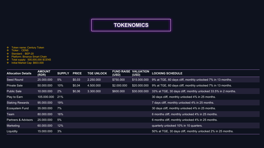# **TOKENOMICS**

- **❖** Token name: Century Token<br>❖ Ticker : CENS
- 
- 
- **\*** Standard : BEP-20<br>**\*** Platform: Binance Smart Chain
- v Total supply: 500,000,000 \$CENS
- v Initial Market Cap: \$603.000

| <b>Allocation Details</b> | <b>AMOUNT</b><br>(RDR) | <b>SUPPLY</b> | <b>PRICE</b> | <b>TGE UNLOCK</b> | <b>FUND RAISE VALUATION</b><br>(USD) | (USD)        | <b>LOCKING SCHEDULE</b>                                        |
|---------------------------|------------------------|---------------|--------------|-------------------|--------------------------------------|--------------|----------------------------------------------------------------|
| Seed Round                | 25.000.000             | 5%            | \$0,03       | 2.250.000         | \$750,000                            | \$15,000,000 | 9% at TGE, 60 days cliff, monthly unlocked 7% in 13 months.    |
| <b>Private Sale</b>       | 50.000.000             | 10%           | \$0,04       | 4.500.000         | \$2,000,000                          | \$20,000,000 | 9% at TGE, 60 days cliff, monthly unlocked 7% in 13 months.    |
| <b>Public Sale</b>        | 10.000.000             | 2%            | \$0,06       | 3.300.000         | \$600,000                            | \$30,000,000 | 33% at TGE, 30 days cliff, monthly unlocked 33.5% in 2 months. |
| Play to Earn              | 105.000.000 21%        |               |              |                   |                                      |              | 30 days cliff, monthly unlocked 4% in 25 months.               |
| <b>Staking Rewards</b>    | 95.000.000             | 19%           |              |                   |                                      |              | 7 days cliff, monthly unlocked 4% in 25 months.                |
| Ecosystem Fund            | 35.000.000             | $7\%$         |              |                   |                                      |              | 30 days cliff, monthly unlocked 4% in 25 months.               |
| Team                      | 80.000.000             | 16%           |              |                   |                                      |              | 6 months cliff, monthly unlocked 4% in 25 months.              |
| Partners & Advisors       | 25.000.000             | 5%            |              |                   |                                      |              | 6 months cliff, monthly unlocked 4% in 25 months.              |
| <b>Marketing</b>          | 60.000.000             | 12%           |              |                   |                                      |              | quarterly unlocked 10% in 10 quarters.                         |
| Liquidity                 | 15.000.000             | 3%            |              |                   |                                      |              | 50% at TGE, 30 days cliff, monthly unlocked 2% in 25 months.   |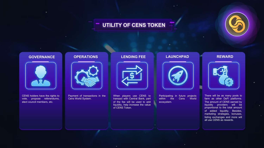# **UTILITY OF CENS TOKEN**



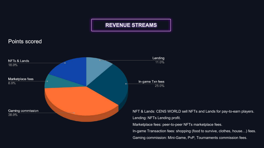## **REVENUE STREAMS**

### Points scored



NFT & Lands: CENS WORLD sell NFTs and Lands for pay-to-earn players. Lending: NFTs Lending profit. Marketplace fees: peer-to-peer NFTs marketplace fees. In-game Transaction fees: shopping (food to survive, clothes, house…) fees. Gaming commission: Mini-Game, PvP, Tournaments commission fees.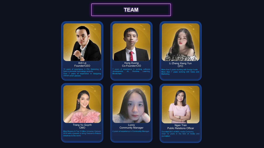# **TEAM**



Anh Le Founder/CEO

10 years of experience in PM, Marketing & Sale in domestic technology projects. Over 7 years of experience in designing VR/AR smart glasses.



7 years of experience in working software development, AI, Machine Learning, Blockchain. Hung Duong Co-Founder/CIO



More than 5 years working with foreign funds. More than 7 years working with Sales and



Trang Vu Quynh  $\check{\ }$ CMO

Miss Bravery & Top 10 Miss Universe Vietnam 2019 with a passion to bring Vietnam's Fintech initiatives to the world.



4 years of experience in Community Manager. Luccy Community Manager



### Ngan Tran Public Relations Officer

Over 12 years in the field of media and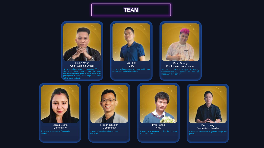## **TEAM**



Ha Le Manh Chief Gaming Officer

10+ years of managing and operating 2D and 3D games development. Joined the bullet strike battlegrounds game in 2016. Since 2016 participated in many other large and small online game projects.



10+ years of experience web app, mobile app, games and blockchain products. Vu Phan **CTO** 



web/mobile/desktop, games as well as blockchain development. Brian Dhang Blockchain Team Leader



2 years of experience in Community, Marketing Sujata Gupta **Community** 



Firman Siburian Community



Phu Hoang **HRM** 



Game Artist Leader

5 Years of experience in graphic design for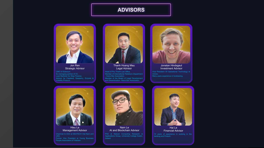# **ADVISORS**



Jon Ren Strategic Advisor

Ex-managing partner of VC. Lead Marketer for Step Finance.



Thanh Hoang Mau Legal Advisor

Head of Phu Thanh Law Office. Member of International Relations Department - Hanoi Bar Association. Member of the Board of Legal Development and Dissemination- Hanoi Bar Association.



Vice President Of Operational Technology at Many years experience in fundraising. Jonatan Hindsgaul Investment Advisor



Hieu Le Management Advisor

Chairman & CEO at SEATECH Viet Nam and Former Vice President at Young Business People Association of Vietnam.



Nam Le AI and Blockchain Advisor

PhD at Natural Computing Research & Applications Group, University College Dublin, Ireland



Hai Le Financial Advisor

10 years of experience in working in the banking and Fintech.